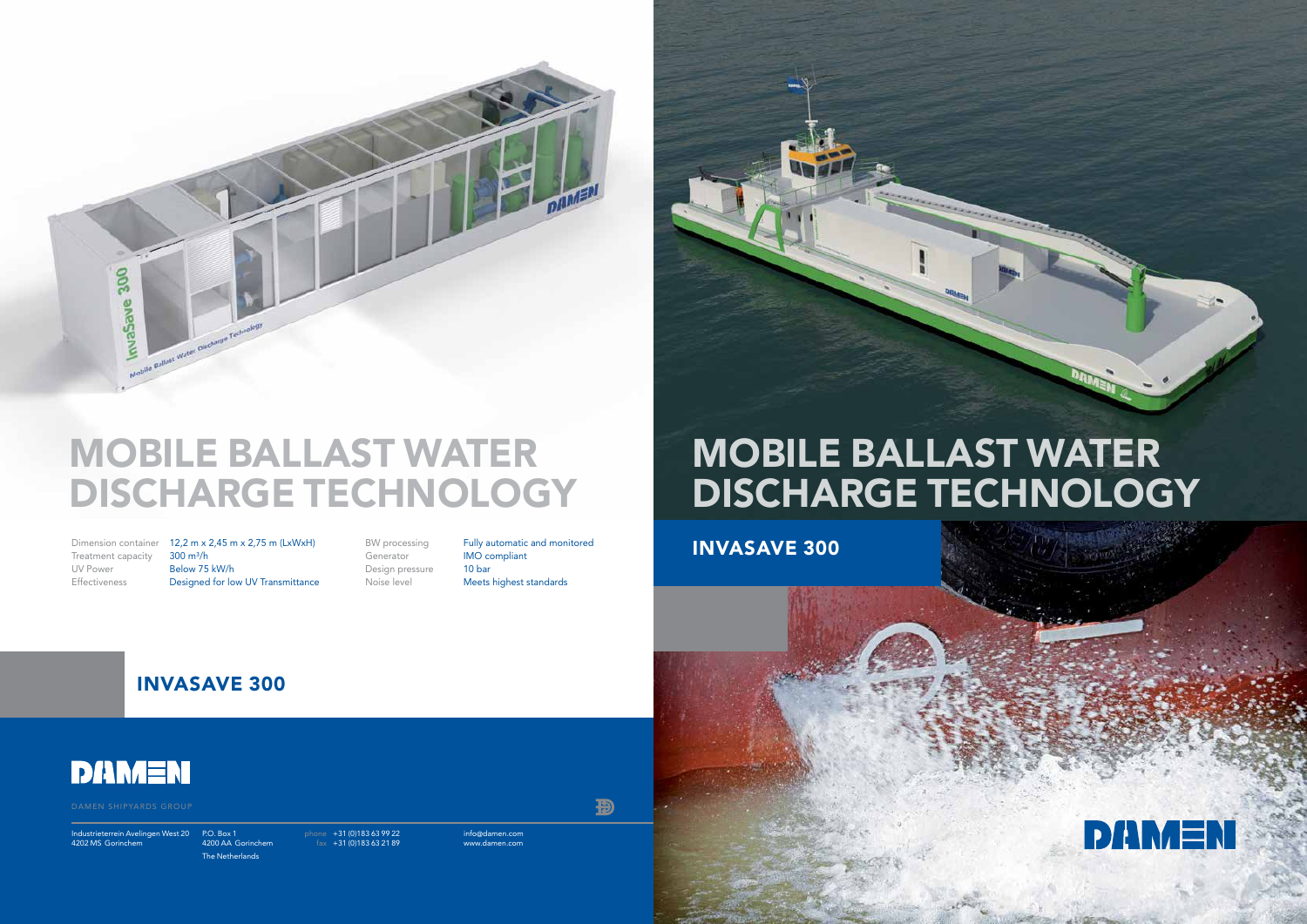info@damen.com www.damen.com

Đ





phone +31 (0)183 63 99 22 fax +31 (0)183 63 21 89

 $PO$  Box 1 4200 AA Gorinchem The Netherlands

Industrieterrein Avelingen West 20 4202 MS Gorinchem

### INVASAVE 300



INVASAVE 300



# MOBILE BALLAST WATER DISCHARGE TECHNOLOGY





## MOBILE BALLAST WATER DISCHARGE TECHNOLOGY

Treatment capacity 300 m<sup>3</sup>/h UV Power Below 75 kW/h

BW processing **Fully automatic and monitored** Noise level Meets highest standards

Dimension container 12,2 m x 2,45 m x 2,75 m (LxWxH) Effectiveness Designed for low UV Transmittance

Generator **IMO** compliant Design pressure 10 bar